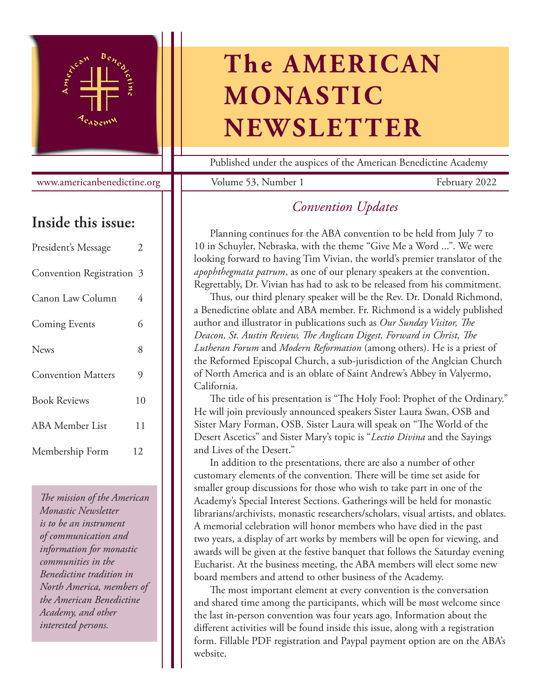

www.americanbenedictine.org

## **Inside this issue:**

| President's Message       | 2  |
|---------------------------|----|
| Convention Registration 3 |    |
| Canon Law Column          | 4  |
| <b>Coming Events</b>      | 6  |
| <b>News</b>               | 8  |
| <b>Convention Matters</b> | 9  |
| <b>Book Reviews</b>       | 10 |
| <b>ABA</b> Member List    | 11 |
| Membership Form           | 12 |

*The mission of the American Monastic Newsletter is to be an instrument of communication and information for monastic communities in the Benedictine tradition in North America, members of the American Benedictine Academy, and other interested persons.*

## **The AMERICAN MONASTIC NEWSLETTER**

Published under the auspices of the American Benedictine Academy

Volume 53, Number 1 February 2022

## *Convention Updates*

Planning continues for the ABA convention to be held from July 7 to 10 in Schuyler, Nebraska, with the theme "Give Me a Word ...". We were looking forward to having Tim Vivian, the world's premier translator of the *apophthegmata patrum*, as one of our plenary speakers at the convention. Regrettably, Dr. Vivian has had to ask to be released from his commitment.

Thus, our third plenary speaker will be the Rev. Dr. Donald Richmond, a Benedictine oblate and ABA member. Fr. Richmond is a widely published author and illustrator in publications such as *Our Sunday Visitor, The Deacon, St. Austin Review, The Anglican Digest, Forward in Christ, The Lutheran Forum* and *Modern Reformation* (among others). He is a priest of the Reformed Episcopal Church, a sub-jurisdiction of the Anglcian Church of North America and is an oblate of Saint Andrew's Abbey in Valyermo, California.

The title of his presentation is "The Holy Fool: Prophet of the Ordinary." He will join previously announced speakers Sister Laura Swan, OSB and Sister Mary Forman, OSB. Sister Laura will speak on "The World of the Desert Ascetics" and Sister Mary's topic is "*Lectio Divina* and the Sayings and Lives of the Desert."

In addition to the presentations, there are also a number of other customary elements of the convention. There will be time set aside for smaller group discussions for those who wish to take part in one of the Academy's Special Interest Sections. Gatherings will be held for monastic librarians/archivists, monastic researchers/scholars, visual artists, and oblates. A memorial celebration will honor members who have died in the past two years, a display of art works by members will be open for viewing, and awards will be given at the festive banquet that follows the Saturday evening Eucharist. At the business meeting, the ABA members will elect some new board members and attend to other business of the Academy.

The most important element at every convention is the conversation and shared time among the participants, which will be most welcome since the last in-person convention was four years ago. Information about the different activities will be found inside this issue, along with a registration form. Fillable PDF registration and Paypal payment option are on the ABA's website.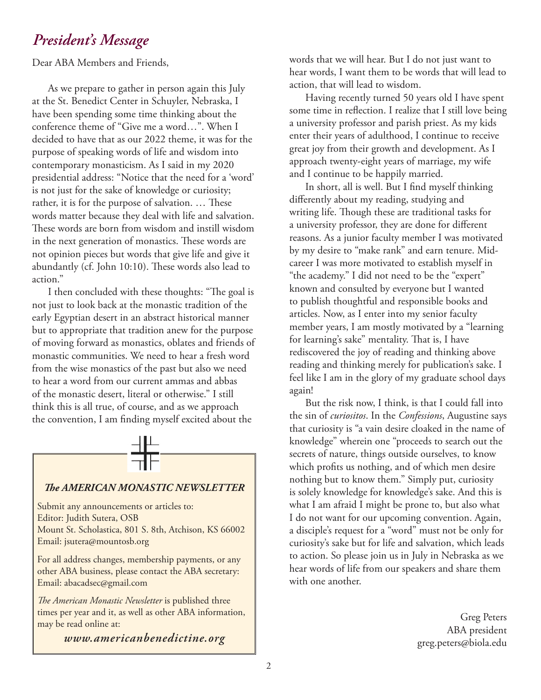## *President's Message*

Dear ABA Members and Friends,

As we prepare to gather in person again this July at the St. Benedict Center in Schuyler, Nebraska, I have been spending some time thinking about the conference theme of "Give me a word…". When I decided to have that as our 2022 theme, it was for the purpose of speaking words of life and wisdom into contemporary monasticism. As I said in my 2020 presidential address: "Notice that the need for a 'word' is not just for the sake of knowledge or curiosity; rather, it is for the purpose of salvation. … These words matter because they deal with life and salvation. These words are born from wisdom and instill wisdom in the next generation of monastics. These words are not opinion pieces but words that give life and give it abundantly (cf. John 10:10). These words also lead to action."

I then concluded with these thoughts: "The goal is not just to look back at the monastic tradition of the early Egyptian desert in an abstract historical manner but to appropriate that tradition anew for the purpose of moving forward as monastics, oblates and friends of monastic communities. We need to hear a fresh word from the wise monastics of the past but also we need to hear a word from our current ammas and abbas of the monastic desert, literal or otherwise." I still think this is all true, of course, and as we approach the convention, I am finding myself excited about the



#### *The AMERICAN MONASTIC NEWSLETTER*

Submit any announcements or articles to: Editor: Judith Sutera, OSB Mount St. Scholastica, 801 S. 8th, Atchison, KS 66002 Email: jsutera@mountosb.org

For all address changes, membership payments, or any other ABA business, please contact the ABA secretary: Email: abacadsec@gmail.com

*The American Monastic Newsletter* is published three times per year and it, as well as other ABA information, may be read online at:

*www.americanbenedictine.org*

words that we will hear. But I do not just want to hear words, I want them to be words that will lead to action, that will lead to wisdom.

Having recently turned 50 years old I have spent some time in reflection. I realize that I still love being a university professor and parish priest. As my kids enter their years of adulthood, I continue to receive great joy from their growth and development. As I approach twenty-eight years of marriage, my wife and I continue to be happily married.

In short, all is well. But I find myself thinking differently about my reading, studying and writing life. Though these are traditional tasks for a university professor, they are done for different reasons. As a junior faculty member I was motivated by my desire to "make rank" and earn tenure. Midcareer I was more motivated to establish myself in "the academy." I did not need to be the "expert" known and consulted by everyone but I wanted to publish thoughtful and responsible books and articles. Now, as I enter into my senior faculty member years, I am mostly motivated by a "learning for learning's sake" mentality. That is, I have rediscovered the joy of reading and thinking above reading and thinking merely for publication's sake. I feel like I am in the glory of my graduate school days again!

But the risk now, I think, is that I could fall into the sin of *curiositos*. In the *Confessions*, Augustine says that curiosity is "a vain desire cloaked in the name of knowledge" wherein one "proceeds to search out the secrets of nature, things outside ourselves, to know which profits us nothing, and of which men desire nothing but to know them." Simply put, curiosity is solely knowledge for knowledge's sake. And this is what I am afraid I might be prone to, but also what I do not want for our upcoming convention. Again, a disciple's request for a "word" must not be only for curiosity's sake but for life and salvation, which leads to action. So please join us in July in Nebraska as we hear words of life from our speakers and share them with one another.

> Greg Peters ABA president greg.peters@biola.edu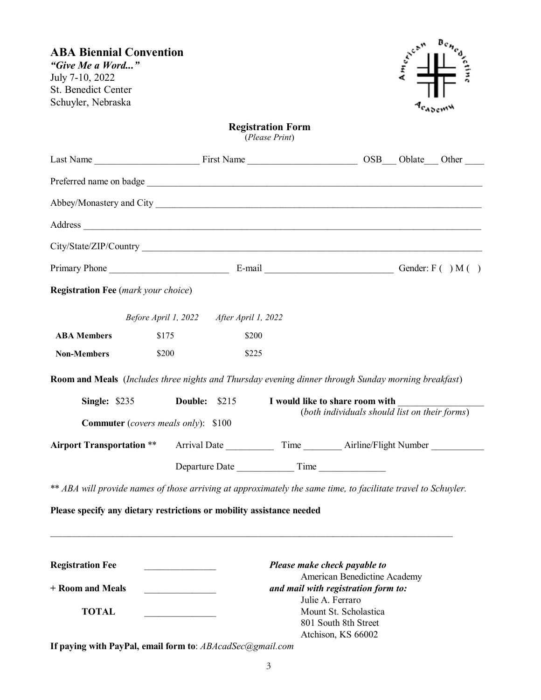| <b>ABA Biennial Convention</b><br>"Give Me a Word"<br>July 7-10, 2022<br>St. Benedict Center<br>Schuyler, Nebraska |                                         |                                          |                                                             |                                                                                         |                                               |
|--------------------------------------------------------------------------------------------------------------------|-----------------------------------------|------------------------------------------|-------------------------------------------------------------|-----------------------------------------------------------------------------------------|-----------------------------------------------|
|                                                                                                                    |                                         |                                          | <b>Registration Form</b><br>(Please Print)                  |                                                                                         |                                               |
|                                                                                                                    |                                         |                                          |                                                             |                                                                                         |                                               |
|                                                                                                                    |                                         |                                          |                                                             |                                                                                         |                                               |
|                                                                                                                    |                                         |                                          |                                                             |                                                                                         |                                               |
|                                                                                                                    |                                         |                                          |                                                             |                                                                                         |                                               |
|                                                                                                                    |                                         |                                          |                                                             |                                                                                         |                                               |
|                                                                                                                    |                                         |                                          |                                                             |                                                                                         |                                               |
| <b>Registration Fee</b> (mark your choice)                                                                         |                                         |                                          |                                                             |                                                                                         |                                               |
|                                                                                                                    |                                         | Before April 1, 2022 After April 1, 2022 |                                                             |                                                                                         |                                               |
| <b>ABA Members</b>                                                                                                 | \$175                                   | \$200                                    |                                                             |                                                                                         |                                               |
| <b>Non-Members</b>                                                                                                 | \$200                                   | \$225                                    |                                                             |                                                                                         |                                               |
| Room and Meals (Includes three nights and Thursday evening dinner through Sunday morning breakfast)                |                                         |                                          |                                                             |                                                                                         |                                               |
|                                                                                                                    |                                         |                                          | Single: \$235 Double: \$215 I would like to share room with |                                                                                         |                                               |
| <b>Commuter</b> (covers meals only): \$100                                                                         |                                         |                                          |                                                             |                                                                                         | (both individuals should list on their forms) |
| <b>Airport Transportation **</b>                                                                                   |                                         |                                          |                                                             |                                                                                         |                                               |
|                                                                                                                    |                                         |                                          |                                                             | Departure Date Time                                                                     |                                               |
| ** ABA will provide names of those arriving at approximately the same time, to facilitate travel to Schuyler.      |                                         |                                          |                                                             |                                                                                         |                                               |
| Please specify any dietary restrictions or mobility assistance needed                                              |                                         |                                          |                                                             |                                                                                         |                                               |
| <b>Registration Fee</b>                                                                                            | <u> 1989 - Johann Barbara, martxa a</u> |                                          |                                                             | Please make check payable to<br>American Benedictine Academy                            |                                               |
| + Room and Meals                                                                                                   |                                         |                                          |                                                             | and mail with registration form to:                                                     |                                               |
| <b>TOTAL</b>                                                                                                       |                                         |                                          |                                                             | Julie A. Ferraro<br>Mount St. Scholastica<br>801 South 8th Street<br>Atchison, KS 66002 |                                               |

**If paying with PayPal, email form to**: *ABAcadSec@gmail.com*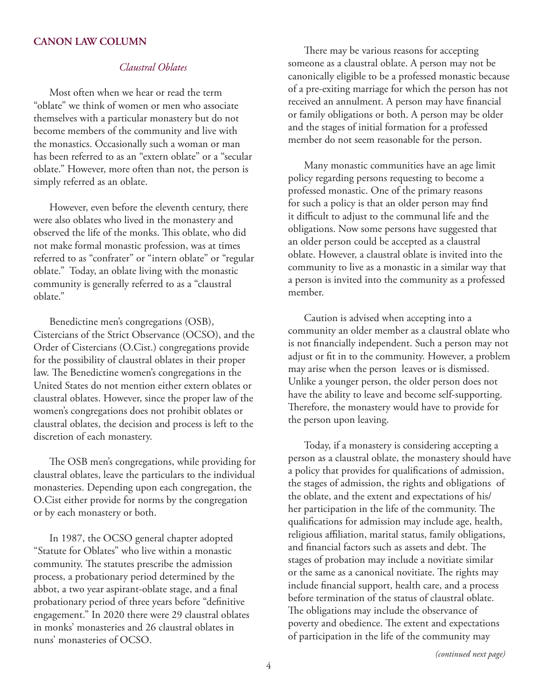#### **CANON LAW COLUMN**

#### *Claustral Oblates*

Most often when we hear or read the term "oblate" we think of women or men who associate themselves with a particular monastery but do not become members of the community and live with the monastics. Occasionally such a woman or man has been referred to as an "extern oblate" or a "secular oblate." However, more often than not, the person is simply referred as an oblate.

However, even before the eleventh century, there were also oblates who lived in the monastery and observed the life of the monks. This oblate, who did not make formal monastic profession, was at times referred to as "confrater" or "intern oblate" or "regular oblate." Today, an oblate living with the monastic community is generally referred to as a "claustral oblate."

Benedictine men's congregations (OSB), Cistercians of the Strict Observance (OCSO), and the Order of Cistercians (O.Cist.) congregations provide for the possibility of claustral oblates in their proper law. The Benedictine women's congregations in the United States do not mention either extern oblates or claustral oblates. However, since the proper law of the women's congregations does not prohibit oblates or claustral oblates, the decision and process is left to the discretion of each monastery.

The OSB men's congregations, while providing for claustral oblates, leave the particulars to the individual monasteries. Depending upon each congregation, the O.Cist either provide for norms by the congregation or by each monastery or both.

In 1987, the OCSO general chapter adopted "Statute for Oblates" who live within a monastic community. The statutes prescribe the admission process, a probationary period determined by the abbot, a two year aspirant-oblate stage, and a final probationary period of three years before "definitive engagement." In 2020 there were 29 claustral oblates in monks' monasteries and 26 claustral oblates in nuns' monasteries of OCSO.

There may be various reasons for accepting someone as a claustral oblate. A person may not be canonically eligible to be a professed monastic because of a pre-exiting marriage for which the person has not received an annulment. A person may have financial or family obligations or both. A person may be older and the stages of initial formation for a professed member do not seem reasonable for the person.

Many monastic communities have an age limit policy regarding persons requesting to become a professed monastic. One of the primary reasons for such a policy is that an older person may find it difficult to adjust to the communal life and the obligations. Now some persons have suggested that an older person could be accepted as a claustral oblate. However, a claustral oblate is invited into the community to live as a monastic in a similar way that a person is invited into the community as a professed member.

Caution is advised when accepting into a community an older member as a claustral oblate who is not financially independent. Such a person may not adjust or fit in to the community. However, a problem may arise when the person leaves or is dismissed. Unlike a younger person, the older person does not have the ability to leave and become self-supporting. Therefore, the monastery would have to provide for the person upon leaving.

Today, if a monastery is considering accepting a person as a claustral oblate, the monastery should have a policy that provides for qualifications of admission, the stages of admission, the rights and obligations of the oblate, and the extent and expectations of his/ her participation in the life of the community. The qualifications for admission may include age, health, religious affiliation, marital status, family obligations, and financial factors such as assets and debt. The stages of probation may include a novitiate similar or the same as a canonical novitiate. The rights may include financial support, health care, and a process before termination of the status of claustral oblate. The obligations may include the observance of poverty and obedience. The extent and expectations of participation in the life of the community may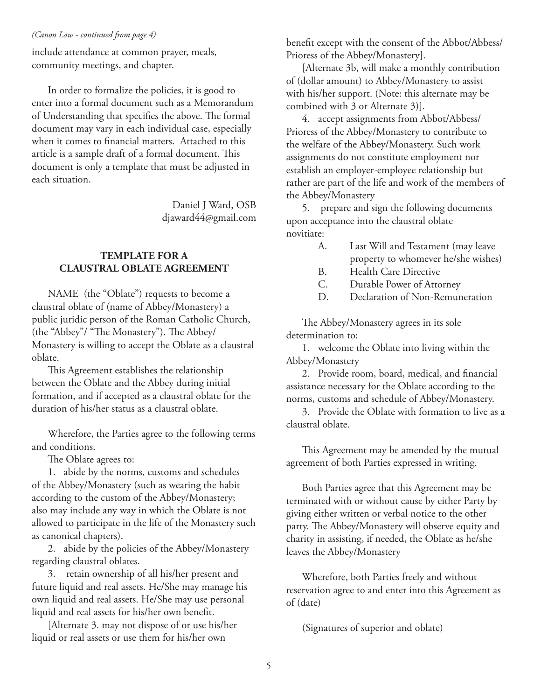include attendance at common prayer, meals, community meetings, and chapter.

In order to formalize the policies, it is good to enter into a formal document such as a Memorandum of Understanding that specifies the above. The formal document may vary in each individual case, especially when it comes to financial matters. Attached to this article is a sample draft of a formal document. This document is only a template that must be adjusted in each situation.

> Daniel J Ward, OSB djaward44@gmail.com

#### **TEMPLATE FOR A CLAUSTRAL OBLATE AGREEMENT**

NAME (the "Oblate") requests to become a claustral oblate of (name of Abbey/Monastery) a public juridic person of the Roman Catholic Church, (the "Abbey"/ "The Monastery"). The Abbey/ Monastery is willing to accept the Oblate as a claustral oblate.

This Agreement establishes the relationship between the Oblate and the Abbey during initial formation, and if accepted as a claustral oblate for the duration of his/her status as a claustral oblate.

Wherefore, the Parties agree to the following terms and conditions.

The Oblate agrees to:

1. abide by the norms, customs and schedules of the Abbey/Monastery (such as wearing the habit according to the custom of the Abbey/Monastery; also may include any way in which the Oblate is not allowed to participate in the life of the Monastery such as canonical chapters).

2. abide by the policies of the Abbey/Monastery regarding claustral oblates.

3. retain ownership of all his/her present and future liquid and real assets. He/She may manage his own liquid and real assets. He/She may use personal liquid and real assets for his/her own benefit.

[Alternate 3. may not dispose of or use his/her liquid or real assets or use them for his/her own

*(Canon Law - continued from page 4)* benefit except with the consent of the Abbot/Abbess/ Prioress of the Abbey/Monastery].

> [Alternate 3b, will make a monthly contribution of (dollar amount) to Abbey/Monastery to assist with his/her support. (Note: this alternate may be combined with 3 or Alternate 3)].

4. accept assignments from Abbot/Abbess/ Prioress of the Abbey/Monastery to contribute to the welfare of the Abbey/Monastery. Such work assignments do not constitute employment nor establish an employer-employee relationship but rather are part of the life and work of the members of the Abbey/Monastery

5. prepare and sign the following documents upon acceptance into the claustral oblate novitiate:

- A. Last Will and Testament (may leave property to whomever he/she wishes)
- B. Health Care Directive
- C. Durable Power of Attorney
- D. Declaration of Non-Remuneration

The Abbey/Monastery agrees in its sole determination to:

1. welcome the Oblate into living within the Abbey/Monastery

2. Provide room, board, medical, and financial assistance necessary for the Oblate according to the norms, customs and schedule of Abbey/Monastery.

3. Provide the Oblate with formation to live as a claustral oblate.

This Agreement may be amended by the mutual agreement of both Parties expressed in writing.

Both Parties agree that this Agreement may be terminated with or without cause by either Party by giving either written or verbal notice to the other party. The Abbey/Monastery will observe equity and charity in assisting, if needed, the Oblate as he/she leaves the Abbey/Monastery

Wherefore, both Parties freely and without reservation agree to and enter into this Agreement as of (date)

(Signatures of superior and oblate)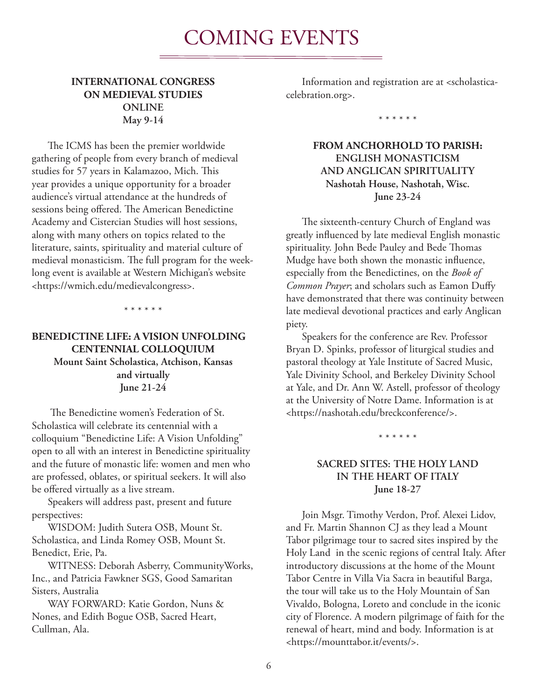## COMING EVENTS

#### **INTERNATIONAL CONGRESS ON MEDIEVAL STUDIES ONLINE May 9-14**

The ICMS has been the premier worldwide gathering of people from every branch of medieval studies for 57 years in Kalamazoo, Mich. This year provides a unique opportunity for a broader audience's virtual attendance at the hundreds of sessions being offered. The American Benedictine Academy and Cistercian Studies will host sessions, along with many others on topics related to the literature, saints, spirituality and material culture of medieval monasticism. The full program for the weeklong event is available at Western Michigan's website <https://wmich.edu/medievalcongress>.

\* \* \* \* \* \*

#### **BENEDICTINE LIFE: A VISION UNFOLDING CENTENNIAL COLLOQUIUM Mount Saint Scholastica, Atchison, Kansas and virtually June 21-24**

 The Benedictine women's Federation of St. Scholastica will celebrate its centennial with a colloquium "Benedictine Life: A Vision Unfolding" open to all with an interest in Benedictine spirituality and the future of monastic life: women and men who are professed, oblates, or spiritual seekers. It will also be offered virtually as a live stream.

Speakers will address past, present and future perspectives:

WISDOM: Judith Sutera OSB, Mount St. Scholastica, and Linda Romey OSB, Mount St. Benedict, Erie, Pa.

WITNESS: Deborah Asberry, CommunityWorks, Inc., and Patricia Fawkner SGS, Good Samaritan Sisters, Australia

WAY FORWARD: Katie Gordon, Nuns & Nones, and Edith Bogue OSB, Sacred Heart, Cullman, Ala.

Information and registration are at <scholasticacelebration.org>.

\* \* \* \* \* \*

#### **FROM ANCHORHOLD TO PARISH: ENGLISH MONASTICISM AND ANGLICAN SPIRITUALITY Nashotah House, Nashotah, Wisc. June 23-24**

The sixteenth-century Church of England was greatly influenced by late medieval English monastic spirituality. John Bede Pauley and Bede Thomas Mudge have both shown the monastic influence, especially from the Benedictines, on the *Book of Common Prayer*; and scholars such as Eamon Duffy have demonstrated that there was continuity between late medieval devotional practices and early Anglican piety.

Speakers for the conference are Rev. Professor Bryan D. Spinks, professor of liturgical studies and pastoral theology at Yale Institute of Sacred Music, Yale Divinity School, and Berkeley Divinity School at Yale, and Dr. Ann W. Astell, professor of theology at the University of Notre Dame. Information is at <https://nashotah.edu/breckconference/>.

\* \* \* \* \* \*

#### **SACRED SITES: THE HOLY LAND IN THE HEART OF ITALY June 18-27**

Join Msgr. Timothy Verdon, Prof. Alexei Lidov, and Fr. Martin Shannon CJ as they lead a Mount Tabor pilgrimage tour to sacred sites inspired by the Holy Land in the scenic regions of central Italy. After introductory discussions at the home of the Mount Tabor Centre in Villa Via Sacra in beautiful Barga, the tour will take us to the Holy Mountain of San Vivaldo, Bologna, Loreto and conclude in the iconic city of Florence. A modern pilgrimage of faith for the renewal of heart, mind and body. Information is at <https://mounttabor.it/events/>.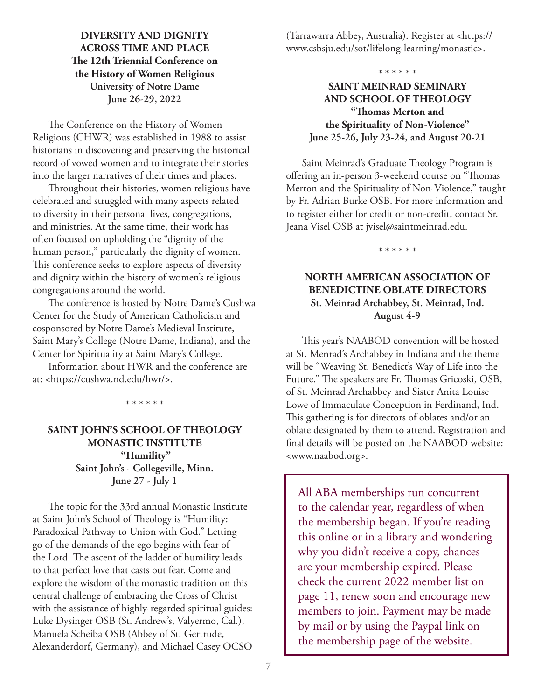#### **DIVERSITY AND DIGNITY ACROSS TIME AND PLACE The 12th Triennial Conference on the History of Women Religious University of Notre Dame June 26-29, 2022**

The Conference on the History of Women Religious (CHWR) was established in 1988 to assist historians in discovering and preserving the historical record of vowed women and to integrate their stories into the larger narratives of their times and places.

Throughout their histories, women religious have celebrated and struggled with many aspects related to diversity in their personal lives, congregations, and ministries. At the same time, their work has often focused on upholding the "dignity of the human person," particularly the dignity of women. This conference seeks to explore aspects of diversity and dignity within the history of women's religious congregations around the world.

The conference is hosted by Notre Dame's Cushwa Center for the Study of American Catholicism and cosponsored by Notre Dame's Medieval Institute, Saint Mary's College (Notre Dame, Indiana), and the Center for Spirituality at Saint Mary's College.

Information about HWR and the conference are at: <https://cushwa.nd.edu/hwr/>.

\* \* \* \* \* \*

### **SAINT JOHN'S SCHOOL OF THEOLOGY MONASTIC INSTITUTE "Humility" Saint John's - Collegeville, Minn. June 27 - July 1**

The topic for the 33rd annual Monastic Institute at Saint John's School of Theology is "Humility: Paradoxical Pathway to Union with God." Letting go of the demands of the ego begins with fear of the Lord. The ascent of the ladder of humility leads to that perfect love that casts out fear. Come and explore the wisdom of the monastic tradition on this central challenge of embracing the Cross of Christ with the assistance of highly-regarded spiritual guides: Luke Dysinger OSB (St. Andrew's, Valyermo, Cal.), Manuela Scheiba OSB (Abbey of St. Gertrude, Alexanderdorf, Germany), and Michael Casey OCSO (Tarrawarra Abbey, Australia). Register at <https:// www.csbsju.edu/sot/lifelong-learning/monastic>.

\* \* \* \* \* \*

#### **SAINT MEINRAD SEMINARY AND SCHOOL OF THEOLOGY "Thomas Merton and the Spirituality of Non-Violence" June 25-26, July 23-24, and August 20-21**

Saint Meinrad's Graduate Theology Program is offering an in-person 3-weekend course on "Thomas Merton and the Spirituality of Non-Violence," taught by Fr. Adrian Burke OSB. For more information and to register either for credit or non-credit, contact Sr. Jeana Visel OSB at jvisel@saintmeinrad.edu.

\* \* \* \* \* \*

### **NORTH AMERICAN ASSOCIATION OF BENEDICTINE OBLATE DIRECTORS St. Meinrad Archabbey, St. Meinrad, Ind. August 4-9**

This year's NAABOD convention will be hosted at St. Menrad's Archabbey in Indiana and the theme will be "Weaving St. Benedict's Way of Life into the Future." The speakers are Fr. Thomas Gricoski, OSB, of St. Meinrad Archabbey and Sister Anita Louise Lowe of Immaculate Conception in Ferdinand, Ind. This gathering is for directors of oblates and/or an oblate designated by them to attend. Registration and final details will be posted on the NAABOD website: <www.naabod.org>.

All ABA memberships run concurrent to the calendar year, regardless of when the membership began. If you're reading this online or in a library and wondering why you didn't receive a copy, chances are your membership expired. Please check the current 2022 member list on page 11, renew soon and encourage new members to join. Payment may be made by mail or by using the Paypal link on the membership page of the website.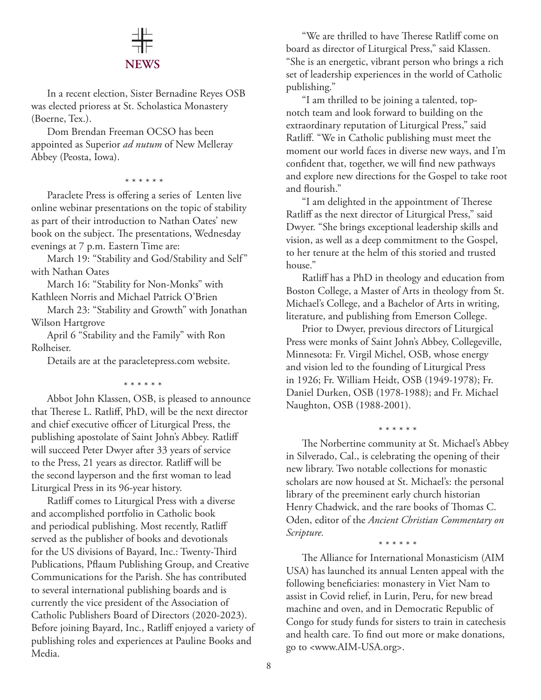# **NEWS**

In a recent election, Sister Bernadine Reyes OSB was elected prioress at St. Scholastica Monastery (Boerne, Tex.).

Dom Brendan Freeman OCSO has been appointed as Superior *ad nutum* of New Melleray Abbey (Peosta, Iowa).

\* \* \* \* \* \*

Paraclete Press is offering a series of Lenten live online webinar presentations on the topic of stability as part of their introduction to Nathan Oates' new book on the subject. The presentations, Wednesday evenings at 7 p.m. Eastern Time are:

March 19: "Stability and God/Stability and Self" with Nathan Oates

March 16: "Stability for Non-Monks" with Kathleen Norris and Michael Patrick O'Brien

March 23: "Stability and Growth" with Jonathan Wilson Hartgrove

April 6 "Stability and the Family" with Ron Rolheiser.

Details are at the paracletepress.com website.

\* \* \* \* \* \*

Abbot John Klassen, OSB, is pleased to announce that Therese L. Ratliff, PhD, will be the next director and chief executive officer of Liturgical Press, the publishing apostolate of Saint John's Abbey. Ratliff will succeed Peter Dwyer after 33 years of service to the Press, 21 years as director. Ratliff will be the second layperson and the first woman to lead Liturgical Press in its 96-year history.

Ratliff comes to Liturgical Press with a diverse and accomplished portfolio in Catholic book and periodical publishing. Most recently, Ratliff served as the publisher of books and devotionals for the US divisions of Bayard, Inc.: Twenty-Third Publications, Pflaum Publishing Group, and Creative Communications for the Parish. She has contributed to several international publishing boards and is currently the vice president of the Association of Catholic Publishers Board of Directors (2020-2023). Before joining Bayard, Inc., Ratliff enjoyed a variety of publishing roles and experiences at Pauline Books and Media.

"We are thrilled to have Therese Ratliff come on board as director of Liturgical Press," said Klassen. "She is an energetic, vibrant person who brings a rich set of leadership experiences in the world of Catholic publishing."

"I am thrilled to be joining a talented, topnotch team and look forward to building on the extraordinary reputation of Liturgical Press," said Ratliff. "We in Catholic publishing must meet the moment our world faces in diverse new ways, and I'm confident that, together, we will find new pathways and explore new directions for the Gospel to take root and flourish."

"I am delighted in the appointment of Therese Ratliff as the next director of Liturgical Press," said Dwyer. "She brings exceptional leadership skills and vision, as well as a deep commitment to the Gospel, to her tenure at the helm of this storied and trusted house."

Ratliff has a PhD in theology and education from Boston College, a Master of Arts in theology from St. Michael's College, and a Bachelor of Arts in writing, literature, and publishing from Emerson College.

Prior to Dwyer, previous directors of Liturgical Press were monks of Saint John's Abbey, Collegeville, Minnesota: Fr. Virgil Michel, OSB, whose energy and vision led to the founding of Liturgical Press in 1926; Fr. William Heidt, OSB (1949-1978); Fr. Daniel Durken, OSB (1978-1988); and Fr. Michael Naughton, OSB (1988-2001).

\* \* \* \* \* \*

The Norbertine community at St. Michael's Abbey in Silverado, Cal., is celebrating the opening of their new library. Two notable collections for monastic scholars are now housed at St. Michael's: the personal library of the preeminent early church historian Henry Chadwick, and the rare books of Thomas C. Oden, editor of the *Ancient Christian Commentary on Scripture.*

\* \* \* \* \* \*

The Alliance for International Monasticism (AIM USA) has launched its annual Lenten appeal with the following beneficiaries: monastery in Viet Nam to assist in Covid relief, in Lurin, Peru, for new bread machine and oven, and in Democratic Republic of Congo for study funds for sisters to train in catechesis and health care. To find out more or make donations, go to <www.AIM-USA.org>.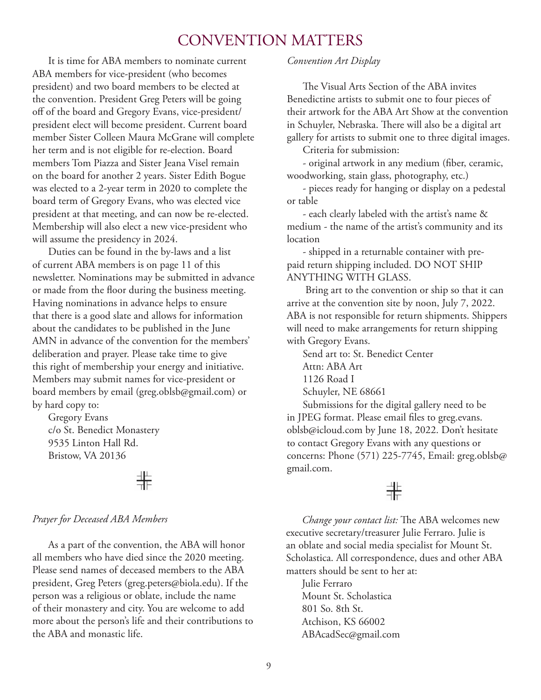## CONVENTION MATTERS

It is time for ABA members to nominate current ABA members for vice-president (who becomes president) and two board members to be elected at the convention. President Greg Peters will be going off of the board and Gregory Evans, vice-president/ president elect will become president. Current board member Sister Colleen Maura McGrane will complete her term and is not eligible for re-election. Board members Tom Piazza and Sister Jeana Visel remain on the board for another 2 years. Sister Edith Bogue was elected to a 2-year term in 2020 to complete the board term of Gregory Evans, who was elected vice president at that meeting, and can now be re-elected. Membership will also elect a new vice-president who will assume the presidency in 2024.

Duties can be found in the by-laws and a list of current ABA members is on page 11 of this newsletter. Nominations may be submitted in advance or made from the floor during the business meeting. Having nominations in advance helps to ensure that there is a good slate and allows for information about the candidates to be published in the June AMN in advance of the convention for the members' deliberation and prayer. Please take time to give this right of membership your energy and initiative. Members may submit names for vice-president or board members by email (greg.oblsb@gmail.com) or by hard copy to:

Gregory Evans c/o St. Benedict Monastery 9535 Linton Hall Rd. Bristow, VA 20136

非

#### *Prayer for Deceased ABA Members*

As a part of the convention, the ABA will honor all members who have died since the 2020 meeting. Please send names of deceased members to the ABA president, Greg Peters (greg.peters@biola.edu). If the person was a religious or oblate, include the name of their monastery and city. You are welcome to add more about the person's life and their contributions to the ABA and monastic life.

#### *Convention Art Display*

The Visual Arts Section of the ABA invites Benedictine artists to submit one to four pieces of their artwork for the ABA Art Show at the convention in Schuyler, Nebraska. There will also be a digital art gallery for artists to submit one to three digital images.

Criteria for submission:

- original artwork in any medium (fiber, ceramic, woodworking, stain glass, photography, etc.)

- pieces ready for hanging or display on a pedestal or table

- each clearly labeled with the artist's name & medium - the name of the artist's community and its location

- shipped in a returnable container with prepaid return shipping included. DO NOT SHIP ANYTHING WITH GLASS.

 Bring art to the convention or ship so that it can arrive at the convention site by noon, July 7, 2022. ABA is not responsible for return shipments. Shippers will need to make arrangements for return shipping with Gregory Evans.

Send art to: St. Benedict Center

Attn: ABA Art

1126 Road I

Schuyler, NE 68661

Submissions for the digital gallery need to be in JPEG format. Please email files to greg.evans. oblsb@icloud.com by June 18, 2022. Don't hesitate to contact Gregory Evans with any questions or concerns: Phone (571) 225-7745, Email: greg.oblsb@ gmail.com.

## 非

*Change your contact list:* The ABA welcomes new executive secretary/treasurer Julie Ferraro. Julie is an oblate and social media specialist for Mount St. Scholastica. All correspondence, dues and other ABA matters should be sent to her at:

Julie Ferraro Mount St. Scholastica 801 So. 8th St. Atchison, KS 66002 ABAcadSec@gmail.com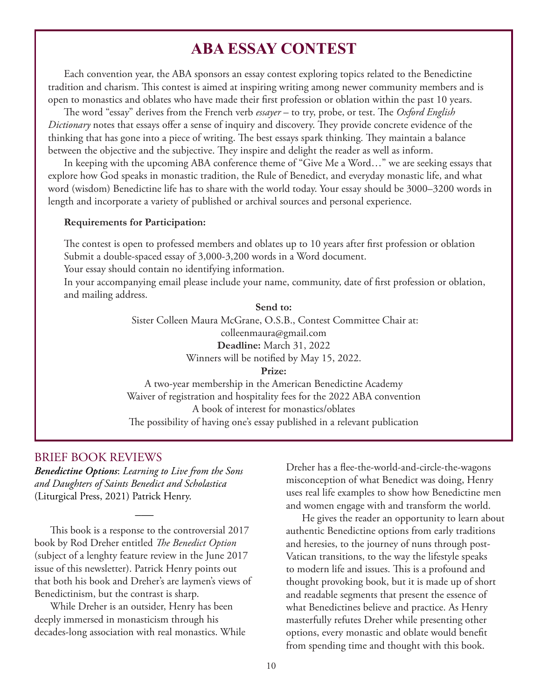## **ABA ESSAY CONTEST**

Each convention year, the ABA sponsors an essay contest exploring topics related to the Benedictine tradition and charism. This contest is aimed at inspiring writing among newer community members and is open to monastics and oblates who have made their first profession or oblation within the past 10 years.

The word "essay" derives from the French verb *essayer* – to try, probe, or test. The *Oxford English Dictionary* notes that essays offer a sense of inquiry and discovery. They provide concrete evidence of the thinking that has gone into a piece of writing. The best essays spark thinking. They maintain a balance between the objective and the subjective. They inspire and delight the reader as well as inform.

In keeping with the upcoming ABA conference theme of "Give Me a Word…" we are seeking essays that explore how God speaks in monastic tradition, the Rule of Benedict, and everyday monastic life, and what word (wisdom) Benedictine life has to share with the world today. Your essay should be 3000–3200 words in length and incorporate a variety of published or archival sources and personal experience.

#### **Requirements for Participation:**

The contest is open to professed members and oblates up to 10 years after first profession or oblation Submit a double-spaced essay of 3,000-3,200 words in a Word document.

Your essay should contain no identifying information.

In your accompanying email please include your name, community, date of first profession or oblation, and mailing address.

> **Send to:** Sister Colleen Maura McGrane, O.S.B., Contest Committee Chair at: colleenmaura@gmail.com **Deadline:** March 31, 2022 Winners will be notified by May 15, 2022. **Prize:** A two-year membership in the American Benedictine Academy Waiver of registration and hospitality fees for the 2022 ABA convention

A book of interest for monastics/oblates The possibility of having one's essay published in a relevant publication

#### BRIEF BOOK REVIEWS

*Benedictine Options*: *Learning to Live from the Sons and Daughters of Saints Benedict and Scholastica*  (Liturgical Press, 2021) Patrick Henry.

This book is a response to the controversial 2017 book by Rod Dreher entitled *The Benedict Option*  (subject of a lenghty feature review in the June 2017 issue of this newsletter). Patrick Henry points out that both his book and Dreher's are laymen's views of Benedictinism, but the contrast is sharp.

 $\overline{\phantom{a}}$ 

While Dreher is an outsider, Henry has been deeply immersed in monasticism through his decades-long association with real monastics. While Dreher has a flee-the-world-and-circle-the-wagons misconception of what Benedict was doing, Henry uses real life examples to show how Benedictine men and women engage with and transform the world.

He gives the reader an opportunity to learn about authentic Benedictine options from early traditions and heresies, to the journey of nuns through post-Vatican transitions, to the way the lifestyle speaks to modern life and issues. This is a profound and thought provoking book, but it is made up of short and readable segments that present the essence of what Benedictines believe and practice. As Henry masterfully refutes Dreher while presenting other options, every monastic and oblate would benefit from spending time and thought with this book.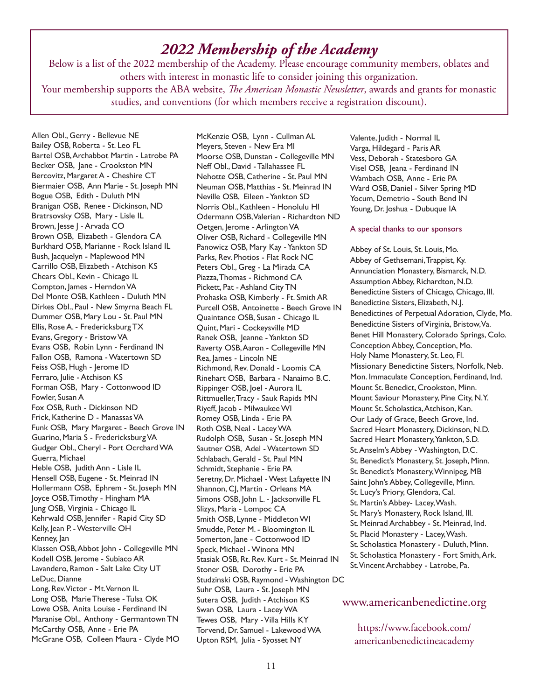## *2022 Membership of the Academy*

Below is a list of the 2022 membership of the Academy. Please encourage community members, oblates and others with interest in monastic life to consider joining this organization.

Your membership supports the ABA website, *The American Monastic Newsletter*, awards and grants for monastic studies, and conventions (for which members receive a registration discount).

Allen Obl., Gerry - Bellevue NE Bailey OSB, Roberta - St. Leo FL Bartel OSB, Archabbot Martin - Latrobe PA Becker OSB, Jane - Crookston MN Bercovitz, Margaret A - Cheshire CT Biermaier OSB, Ann Marie - St. Joseph MN Bogue OSB, Edith - Duluth MN Branigan OSB, Renee - Dickinson, ND Bratrsovsky OSB, Mary - Lisle IL Brown, Jesse J - Arvada CO Brown OSB, Elizabeth - Glendora CA Burkhard OSB, Marianne - Rock Island IL Bush, Jacquelyn - Maplewood MN Carrillo OSB, Elizabeth - Atchison KS Chears Obl., Kevin - Chicago IL Compton, James - Herndon VA Del Monte OSB, Kathleen - Duluth MN Dirkes Obl., Paul - New Smyrna Beach FL Dummer OSB, Mary Lou - St. Paul MN Ellis, Rose A. - Fredericksburg TX Evans, Gregory - Bristow VA Evans OSB, Robin Lynn - Ferdinand IN Fallon OSB, Ramona - Watertown SD Feiss OSB, Hugh - Jerome ID Ferraro, Julie - Atchison KS Forman OSB, Mary - Cottonwood ID Fowler, Susan A Fox OSB, Ruth - Dickinson ND Frick, Katherine D - Manassas VA Funk OSB, Mary Margaret - Beech Grove IN Guarino, Maria S - Fredericksburg VA Gudger Obl., Cheryl - Port Ocrchard WA Guerra, Michael Heble OSB, Judith Ann - Lisle IL Hensell OSB, Eugene - St. Meinrad IN Hollermann OSB, Ephrem - St. Joseph MN Joyce OSB, Timothy - Hingham MA Jung OSB, Virginia - Chicago IL Kehrwald OSB, Jennifer - Rapid City SD Kelly, Jean P. - Westerville OH Kenney, Jan Klassen OSB, Abbot John - Collegeville MN Kodell OSB, Jerome - Subiaco AR Lavandero, Ramon - Salt Lake City UT LeDuc, Dianne Long, Rev. Victor - Mt. Vernon IL Long OSB, Marie Therese - Tulsa OK Lowe OSB, Anita Louise - Ferdinand IN Maranise Obl., Anthony - Germantown TN McCarthy OSB, Anne - Erie PA McGrane OSB, Colleen Maura - Clyde MO

McKenzie OSB, Lynn - Cullman AL Meyers, Steven - New Era MI Moorse OSB, Dunstan - Collegeville MN Neff Obl., David - Tallahassee FL Nehotte OSB, Catherine - St. Paul MN Neuman OSB, Matthias - St. Meinrad IN Neville OSB, Eileen - Yankton SD Norris Obl., Kathleen - Honolulu HI Odermann OSB, Valerian - Richardton ND Oetgen, Jerome - Arlington VA Oliver OSB, Richard - Collegeville MN Panowicz OSB, Mary Kay - Yankton SD Parks, Rev. Photios - Flat Rock NC Peters Obl., Greg - La Mirada CA Piazza, Thomas - Richmond CA Pickett, Pat - Ashland City TN Prohaska OSB, Kimberly - Ft. Smith AR Purcell OSB, Antoinette - Beech Grove IN Quaintance OSB, Susan - Chicago IL Quint, Mari - Cockeysville MD Ranek OSB, Jeanne - Yankton SD Raverty OSB, Aaron - Collegeville MN Rea, James - Lincoln NE Richmond, Rev. Donald - Loomis CA Rinehart OSB, Barbara - Nanaimo B.C. Rippinger OSB, Joel - Aurora IL Rittmueller, Tracy - Sauk Rapids MN Riyeff, Jacob - Milwaukee WI Romey OSB, Linda - Erie PA Roth OSB, Neal - Lacey WA Rudolph OSB, Susan - St. Joseph MN Sautner OSB, Adel - Watertown SD Schlabach, Gerald - St. Paul MN Schmidt, Stephanie - Erie PA Seretny, Dr. Michael - West Lafayette IN Shannon, CJ, Martin - Orleans MA Simons OSB, John L. - Jacksonville FL Slizys, Maria - Lompoc CA Smith OSB, Lynne - Middleton WI Smudde, Peter M. - Bloomington IL Somerton, Jane - Cottonwood ID Speck, Michael - Winona MN Stasiak OSB, Rt. Rev. Kurt - St. Meinrad IN Stoner OSB, Dorothy - Erie PA Studzinski OSB, Raymond - Washington DC Suhr OSB, Laura - St. Joseph MN Sutera OSB, Judith - Atchison KS Swan OSB, Laura - Lacey WA Tewes OSB, Mary - Villa Hills KY Torvend, Dr. Samuel - Lakewood WA Upton RSM, Julia - Syosset NY

Valente, Judith - Normal IL Varga, Hildegard - Paris AR Vess, Deborah - Statesboro GA Visel OSB, Jeana - Ferdinand IN Wambach OSB, Anne - Erie PA Ward OSB, Daniel - Silver Spring MD Yocum, Demetrio - South Bend IN Young, Dr. Joshua - Dubuque IA

#### A special thanks to our sponsors

Abbey of St. Louis, St. Louis, Mo. Abbey of Gethsemani, Trappist, Ky. Annunciation Monastery, Bismarck, N.D. Assumption Abbey, Richardton, N.D. Benedictine Sisters of Chicago, Chicago, Ill. Benedictine Sisters, Elizabeth, N.J. Benedictines of Perpetual Adoration, Clyde, Mo. Benedictine Sisters of Virginia, Bristow, Va. Benet Hill Monastery, Colorado Springs, Colo. Conception Abbey, Conception, Mo. Holy Name Monastery, St. Leo, Fl. Missionary Benedictine Sisters, Norfolk, Neb. Mon. Immaculate Conception, Ferdinand, Ind. Mount St. Benedict, Crookston, Minn. Mount Saviour Monastery, Pine City, N.Y. Mount St. Scholastica, Atchison, Kan. Our Lady of Grace, Beech Grove, Ind. Sacred Heart Monastery, Dickinson, N.D. Sacred Heart Monastery, Yankton, S.D. St. Anselm's Abbey - Washington, D.C. St. Benedict's Monastery, St. Joseph, Minn. St. Benedict's Monastery, Winnipeg, MB Saint John's Abbey, Collegeville, Minn. St. Lucy's Priory, Glendora, Cal. St. Martin's Abbey- Lacey, Wash. St. Mary's Monastery, Rock Island, Ill. St. Meinrad Archabbey - St. Meinrad, Ind. St. Placid Monastery - Lacey, Wash. St. Scholastica Monastery - Duluth, Minn. St. Scholastica Monastery - Fort Smith, Ark. St. Vincent Archabbey - Latrobe, Pa.

#### www.americanbenedictine.org

https://www.facebook.com/ americanbenedictineacademy